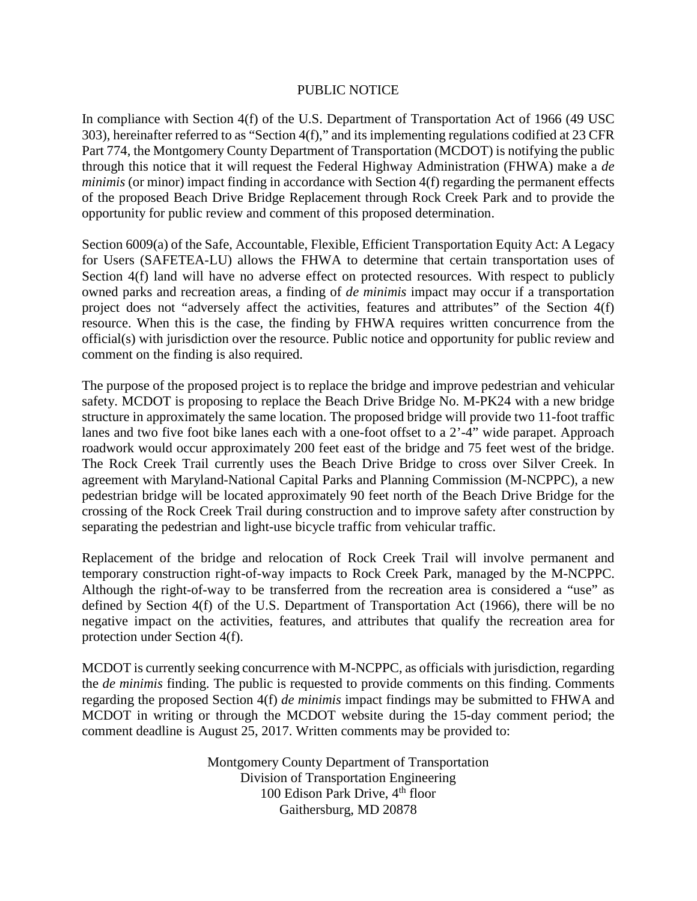## PUBLIC NOTICE

In compliance with Section 4(f) of the U.S. Department of Transportation Act of 1966 (49 USC 303), hereinafter referred to as "Section 4(f)," and its implementing regulations codified at 23 CFR Part 774, the Montgomery County Department of Transportation (MCDOT) is notifying the public through this notice that it will request the Federal Highway Administration (FHWA) make a *de minimis* (or minor) impact finding in accordance with Section 4(f) regarding the permanent effects of the proposed Beach Drive Bridge Replacement through Rock Creek Park and to provide the opportunity for public review and comment of this proposed determination.

Section 6009(a) of the Safe, Accountable, Flexible, Efficient Transportation Equity Act: A Legacy for Users (SAFETEA-LU) allows the FHWA to determine that certain transportation uses of Section 4(f) land will have no adverse effect on protected resources. With respect to publicly owned parks and recreation areas, a finding of *de minimis* impact may occur if a transportation project does not "adversely affect the activities, features and attributes" of the Section 4(f) resource. When this is the case, the finding by FHWA requires written concurrence from the official(s) with jurisdiction over the resource. Public notice and opportunity for public review and comment on the finding is also required.

The purpose of the proposed project is to replace the bridge and improve pedestrian and vehicular safety. MCDOT is proposing to replace the Beach Drive Bridge No. M-PK24 with a new bridge structure in approximately the same location. The proposed bridge will provide two 11-foot traffic lanes and two five foot bike lanes each with a one-foot offset to a 2'-4" wide parapet. Approach roadwork would occur approximately 200 feet east of the bridge and 75 feet west of the bridge. The Rock Creek Trail currently uses the Beach Drive Bridge to cross over Silver Creek. In agreement with Maryland-National Capital Parks and Planning Commission (M-NCPPC), a new pedestrian bridge will be located approximately 90 feet north of the Beach Drive Bridge for the crossing of the Rock Creek Trail during construction and to improve safety after construction by separating the pedestrian and light-use bicycle traffic from vehicular traffic.

Replacement of the bridge and relocation of Rock Creek Trail will involve permanent and temporary construction right-of-way impacts to Rock Creek Park, managed by the M-NCPPC. Although the right-of-way to be transferred from the recreation area is considered a "use" as defined by Section 4(f) of the U.S. Department of Transportation Act (1966), there will be no negative impact on the activities, features, and attributes that qualify the recreation area for protection under Section 4(f).

MCDOT is currently seeking concurrence with M-NCPPC, as officials with jurisdiction, regarding the *de minimis* finding. The public is requested to provide comments on this finding. Comments regarding the proposed Section 4(f) *de minimis* impact findings may be submitted to FHWA and MCDOT in writing or through the MCDOT website during the 15-day comment period; the comment deadline is August 25, 2017. Written comments may be provided to:

> Montgomery County Department of Transportation Division of Transportation Engineering 100 Edison Park Drive, 4<sup>th</sup> floor Gaithersburg, MD 20878